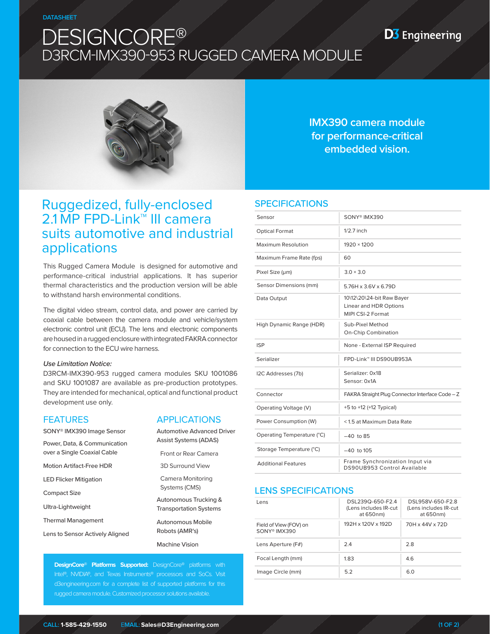# DESIGNCORE® D3RCM-IMX390-953 RUGGED CAMERA MODULE

**D3** Engineering



**IMX390 camera module for performance-critical embedded vision.**

# Ruggedized, fully-enclosed 2.1 MP FPD-Link<sup>™</sup> III camera suits automotive and industrial applications

This Rugged Camera Module is designed for automotive and performance-critical industrial applications. It has superior thermal characteristics and the production version will be able to withstand harsh environmental conditions.

The digital video stream, control data, and power are carried by coaxial cable between the camera module and vehicle/system electronic control unit (ECU). The lens and electronic components are housed in a rugged enclosure with integrated FAKRA connector for connection to the ECU wire harness.

#### *Use Limitation Notice:*

D3RCM-IMX390-953 rugged camera modules SKU 1001086 and SKU 1001087 are available as pre-production prototypes. They are intended for mechanical, optical and functional product development use only.

### FEATURES

| <b>FEATURES</b>                 | <b>APPLICATIONS</b>                                                                          |  |
|---------------------------------|----------------------------------------------------------------------------------------------|--|
| SONY® IMX390 Image Sensor       | <b>Automotive Advanced Driver</b><br><b>Assist Systems (ADAS)</b>                            |  |
| Power, Data, & Communication    |                                                                                              |  |
| over a Single Coaxial Cable     | Front or Rear Camera                                                                         |  |
| <b>Motion Artifact-Free HDR</b> | <b>3D Surround View</b>                                                                      |  |
| <b>LED Flicker Mitigation</b>   | Camera Monitoring<br>Systems (CMS)<br>Autonomous Trucking &<br><b>Transportation Systems</b> |  |
| Compact Size                    |                                                                                              |  |
| Ultra-Lightweight               |                                                                                              |  |
| <b>Thermal Management</b>       | Autonomous Mobile<br>Robots (AMR's)                                                          |  |
| Lens to Sensor Actively Aligned |                                                                                              |  |
|                                 | <b>Machine Vision</b>                                                                        |  |

**DesignCore**® **Platforms Supported:** DesignCore® platforms with Intel®, NVIDIA®, and Texas Instruments® processors and SoCs. Visit d3engineering.com for a complete list of supported platforms for this rugged camera module. Customized processor solutions available.

### **SPECIFICATIONS**

| Sensor                     | SONY <sup>®</sup> IMX390                                                 |  |
|----------------------------|--------------------------------------------------------------------------|--|
| <b>Optical Format</b>      | $1/2.7$ inch                                                             |  |
| Maximum Resolution         | $1920 \times 1200$                                                       |  |
| Maximum Frame Rate (fps)   | 60                                                                       |  |
| Pixel Size (um)            | $3.0 \times 3.0$                                                         |  |
| Sensor Dimensions (mm)     | 5.76H x 3.6V x 6.79D                                                     |  |
| Data Output                | 10\12\20\24-bit Raw Bayer<br>Linear and HDR Options<br>MIPI CSI-2 Format |  |
| High Dynamic Range (HDR)   | Sub-Pixel Method<br><b>On-Chip Combination</b>                           |  |
| <b>ISP</b>                 | None - External ISP Required                                             |  |
| Serializer                 | FPD-Link™ III DS90UB953A                                                 |  |
| I2C Addresses (7b)         | Serializer: 0x18<br>Sensor: 0x1A                                         |  |
| Connector                  | FAKRA Straight Plug Connector Interface Code - Z                         |  |
| Operating Voltage (V)      | +5 to +12 (+12 Typical)                                                  |  |
| Power Consumption (W)      | <1.5 at Maximum Data Rate                                                |  |
| Operating Temperature (°C) | $-40$ to 85                                                              |  |
| Storage Temperature (°C)   | $-40$ to $105$                                                           |  |
| <b>Additional Features</b> | Frame Synchronization Input via<br>DS90UB953 Control Available           |  |

### LENS SPECIFICATIONS

| Lens                                               | DSL239Q-650-F2.4<br>(Lens includes IR-cut<br>at 650nm) | DSL958V-650-F2.8<br>(Lens includes IR-cut<br>at 650nm) |
|----------------------------------------------------|--------------------------------------------------------|--------------------------------------------------------|
| Field of View (FOV) on<br>SONY <sup>®</sup> IMX390 | 192H x 120V x 192D                                     | 70H x 44V x 72D                                        |
| Lens Aperture (F#)                                 | 2.4                                                    | 2.8                                                    |
| Focal Length (mm)                                  | 1.83                                                   | 4.6                                                    |
| Image Circle (mm)                                  | 5.2                                                    | 6.0                                                    |